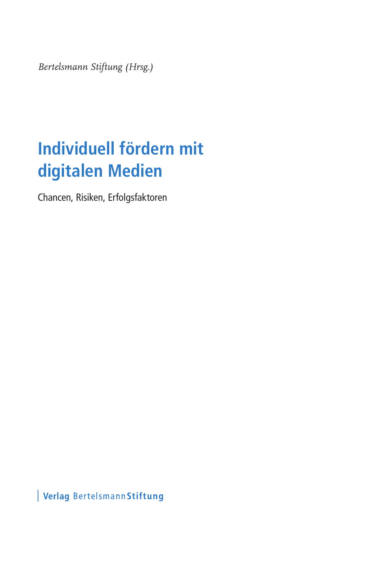*Bertelsmann Stiftung (Hrsg.)*

## **Individuell fördern mit digitalen Medien**

Chancen, Risiken, Erfolgsfaktoren

Verlag Bertelsmann Stiftung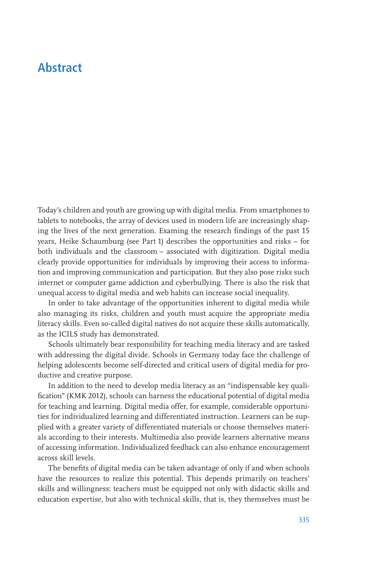## **Abstract**

Today's children and youth are growing up with digital media. From smartphones to tablets to notebooks, the array of devices used in modern life are increasingly shaping the lives of the next generation. Examing the research findings of the past 15 years, Heike Schaumburg (see Part 1) describes the opportunities and risks – for both individuals and the classroom – associated with digitization. Digital media clearly provide opportunities for individuals by improving their access to information and improving communication and participation. But they also pose risks such internet or computer game addiction and cyberbullying. There is also the risk that unequal access to digital media and web habits can increase social inequality.

In order to take advantage of the opportunities inherent to digital media while also managing its risks, children and youth must acquire the appropriate media literacy skills. Even so-called digital natives do not acquire these skills automatically, as the ICILS study has demonstrated.

Schools ultimately bear responsibility for teaching media literacy and are tasked with addressing the digital divide. Schools in Germany today face the challenge of helping adolescents become self-directed and critical users of digital media for productive and creative purpose.

In addition to the need to develop media literacy as an "indispensable key qualification" (KMK 2012), schools can harness the educational potential of digital media for teaching and learning. Digital media offer, for example, considerable opportunities for individualized learning and differentiated instruction. Learners can be supplied with a greater variety of differentiated materials or choose themselves materials according to their interests. Multimedia also provide learners alternative means of accessing information. Individualized feedback can also enhance encouragement across skill levels.

The benefits of digital media can be taken advantage of only if and when schools have the resources to realize this potential. This depends primarily on teachers' skills and willingness: teachers must be equipped not only with didactic skills and education expertise, but also with technical skills, that is, they themselves must be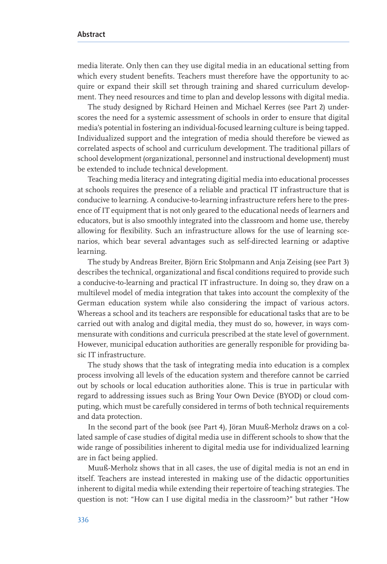media literate. Only then can they use digital media in an educational setting from which every student benefits. Teachers must therefore have the opportunity to acquire or expand their skill set through training and shared curriculum development. They need resources and time to plan and develop lessons with digital media.

The study designed by Richard Heinen and Michael Kerres (see Part 2) underscores the need for a systemic assessment of schools in order to ensure that digital media's potential in fostering an individual-focused learning culture is being tapped. Individualized support and the integration of media should therefore be viewed as correlated aspects of school and curriculum development. The traditional pillars of school development (organizational, personnel and instructional development) must be extended to include technical development.

Teaching media literacy and integrating digitial media into educational processes at schools requires the presence of a reliable and practical IT infrastructure that is conducive to learning. A conducive-to-learning infrastructure refers here to the presence of IT equipment that is not only geared to the educational needs of learners and educators, but is also smoothly integrated into the classroom and home use, thereby allowing for flexibility. Such an infrastructure allows for the use of learning scenarios, which bear several advantages such as self-directed learning or adaptive learning.

The study by Andreas Breiter, Björn Eric Stolpmann and Anja Zeising (see Part 3) describes the technical, organizational and fiscal conditions required to provide such a conducive-to-learning and practical IT infrastructure. In doing so, they draw on a multilevel model of media integration that takes into account the complexity of the German education system while also considering the impact of various actors. Whereas a school and its teachers are responsible for educational tasks that are to be carried out with analog and digital media, they must do so, however, in ways commensurate with conditions and curricula prescribed at the state level of government. However, municipal education authorities are generally responible for providing basic IT infrastructure.

The study shows that the task of integrating media into education is a complex process involving all levels of the education system and therefore cannot be carried out by schools or local education authorities alone. This is true in particular with regard to addressing issues such as Bring Your Own Device (BYOD) or cloud computing, which must be carefully considered in terms of both technical requirements and data protection.

In the second part of the book (see Part 4), Jöran Muuß-Merholz draws on a collated sample of case studies of digital media use in different schools to show that the wide range of possibilities inherent to digital media use for individualized learning are in fact being applied.

Muuß-Merholz shows that in all cases, the use of digital media is not an end in itself. Teachers are instead interested in making use of the didactic opportunities inherent to digital media while extending their repertoire of teaching strategies. The question is not: "How can I use digital media in the classroom?" but rather "How